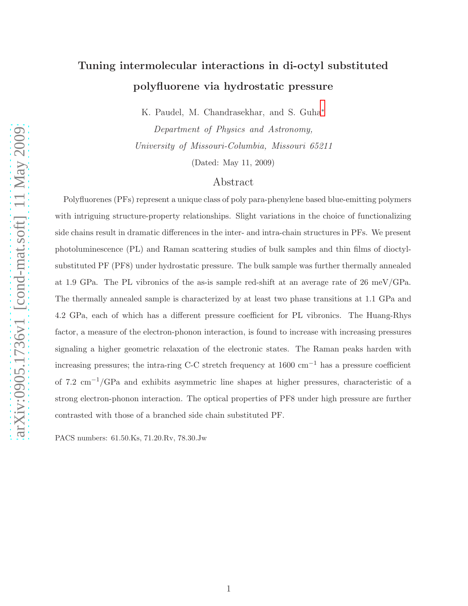# Tuning intermolecular interactions in di-octyl substituted polyfluorene via hydrostatic pressure

K. Paudel, M. Chandrasekhar, and S. Guha[∗](#page-19-0) Department of Physics and Astronomy,

University of Missouri-Columbia, Missouri 65211 (Dated: May 11, 2009)

### Abstract

Polyfluorenes (PFs) represent a unique class of poly para-phenylene based blue-emitting polymers with intriguing structure-property relationships. Slight variations in the choice of functionalizing side chains result in dramatic differences in the inter- and intra-chain structures in PFs. We present photoluminescence (PL) and Raman scattering studies of bulk samples and thin films of dioctylsubstituted PF (PF8) under hydrostatic pressure. The bulk sample was further thermally annealed at 1.9 GPa. The PL vibronics of the as-is sample red-shift at an average rate of 26 meV/GPa. The thermally annealed sample is characterized by at least two phase transitions at 1.1 GPa and 4.2 GPa, each of which has a different pressure coefficient for PL vibronics. The Huang-Rhys factor, a measure of the electron-phonon interaction, is found to increase with increasing pressures signaling a higher geometric relaxation of the electronic states. The Raman peaks harden with increasing pressures; the intra-ring C-C stretch frequency at  $1600 \text{ cm}^{-1}$  has a pressure coefficient of 7.2 cm−1/GPa and exhibits asymmetric line shapes at higher pressures, characteristic of a strong electron-phonon interaction. The optical properties of PF8 under high pressure are further contrasted with those of a branched side chain substituted PF.

PACS numbers: 61.50.Ks, 71.20.Rv, 78.30.Jw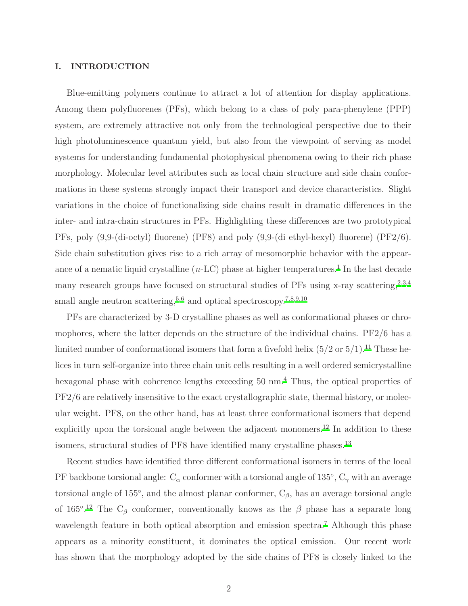#### I. INTRODUCTION

Blue-emitting polymers continue to attract a lot of attention for display applications. Among them polyfluorenes (PFs), which belong to a class of poly para-phenylene (PPP) system, are extremely attractive not only from the technological perspective due to their high photoluminescence quantum yield, but also from the viewpoint of serving as model systems for understanding fundamental photophysical phenomena owing to their rich phase morphology. Molecular level attributes such as local chain structure and side chain conformations in these systems strongly impact their transport and device characteristics. Slight variations in the choice of functionalizing side chains result in dramatic differences in the inter- and intra-chain structures in PFs. Highlighting these differences are two prototypical PFs, poly (9,9-(di-octyl) fluorene) (PF8) and poly (9,9-(di ethyl-hexyl) fluorene) (PF2/6). Side chain substitution gives rise to a rich array of mesomorphic behavior with the appearance of a nematic liquid crystalline  $(n-LC)$  phase at higher temperatures.<sup>[1](#page-19-1)</sup> In the last decade many research groups have focused on structural studies of PFs using x-ray scattering,  $2,3,4$  $2,3,4$  $2,3,4$ small angle neutron scattering,  $5,6$  $5,6$  and optical spectroscopy.<sup>[7](#page-19-7)[,8](#page-19-8)[,9](#page-19-9)[,10](#page-19-10)</sup>

PFs are characterized by 3-D crystalline phases as well as conformational phases or chromophores, where the latter depends on the structure of the individual chains. PF2/6 has a limited number of conformational isomers that form a fivefold helix  $(5/2 \text{ or } 5/1)$ .<sup>[11](#page-19-11)</sup> These helices in turn self-organize into three chain unit cells resulting in a well ordered semicrystalline hexagonal phase with coherence lengths exceeding 50 nm.<sup>[4](#page-19-4)</sup> Thus, the optical properties of PF2/6 are relatively insensitive to the exact crystallographic state, thermal history, or molecular weight. PF8, on the other hand, has at least three conformational isomers that depend explicitly upon the torsional angle between the adjacent monomers.<sup>[12](#page-19-12)</sup> In addition to these isomers, structural studies of PF8 have identified many crystalline phases.<sup>[13](#page-19-13)</sup>

Recent studies have identified three different conformational isomers in terms of the local PF backbone torsional angle:  $C_{\alpha}$  conformer with a torsional angle of 135 $^{\circ}$ ,  $C_{\gamma}$  with an average torsional angle of 155<sup>°</sup>, and the almost planar conformer,  $C_{\beta}$ , has an average torsional angle of 165<sup>°</sup>.<sup>[12](#page-19-12)</sup> The C<sub>β</sub> conformer, conventionally knows as the  $\beta$  phase has a separate long wavelength feature in both optical absorption and emission spectra.<sup>[7](#page-19-7)</sup> Although this phase appears as a minority constituent, it dominates the optical emission. Our recent work has shown that the morphology adopted by the side chains of PF8 is closely linked to the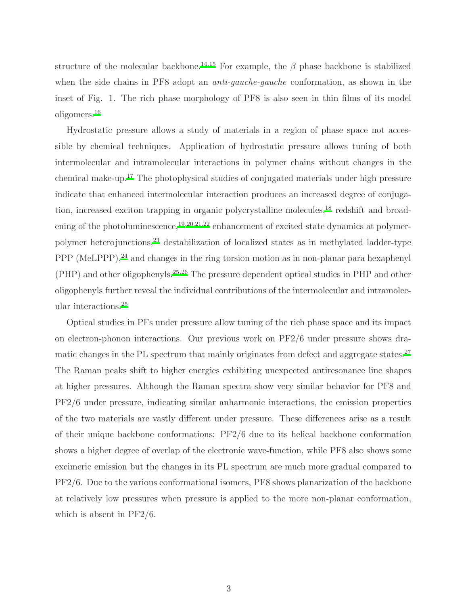structure of the molecular backbone.<sup>[14](#page-19-14)[,15](#page-19-15)</sup> For example, the  $\beta$  phase backbone is stabilized when the side chains in PF8 adopt an *anti-gauche-gauche* conformation, as shown in the inset of Fig. 1. The rich phase morphology of PF8 is also seen in thin films of its model oligomers.[16](#page-19-16)

Hydrostatic pressure allows a study of materials in a region of phase space not accessible by chemical techniques. Application of hydrostatic pressure allows tuning of both intermolecular and intramolecular interactions in polymer chains without changes in the chemical make-up.[17](#page-20-0) The photophysical studies of conjugated materials under high pressure indicate that enhanced intermolecular interaction produces an increased degree of conjuga-tion, increased exciton trapping in organic polycrystalline molecules,<sup>[18](#page-20-1)</sup> redshift and broad-ening of the photoluminescence,<sup>[19](#page-20-2)[,20](#page-20-3)[,21](#page-20-4)[,22](#page-20-5)</sup> enhancement of excited state dynamics at polymerpolymer heterojunctions,[23](#page-20-6) destabilization of localized states as in methylated ladder-type PPP (MeLPPP),<sup>[24](#page-20-7)</sup> and changes in the ring torsion motion as in non-planar para hexaphenyl (PHP) and other oligophenyls.[25](#page-20-8)[,26](#page-20-9) The pressure dependent optical studies in PHP and other oligophenyls further reveal the individual contributions of the intermolecular and intramolecular interactions.[25](#page-20-8)

Optical studies in PFs under pressure allow tuning of the rich phase space and its impact on electron-phonon interactions. Our previous work on PF2/6 under pressure shows dramatic changes in the PL spectrum that mainly originates from defect and aggregate states.[27](#page-20-10) The Raman peaks shift to higher energies exhibiting unexpected antiresonance line shapes at higher pressures. Although the Raman spectra show very similar behavior for PF8 and PF2/6 under pressure, indicating similar anharmonic interactions, the emission properties of the two materials are vastly different under pressure. These differences arise as a result of their unique backbone conformations: PF2/6 due to its helical backbone conformation shows a higher degree of overlap of the electronic wave-function, while PF8 also shows some excimeric emission but the changes in its PL spectrum are much more gradual compared to PF2/6. Due to the various conformational isomers, PF8 shows planarization of the backbone at relatively low pressures when pressure is applied to the more non-planar conformation, which is absent in PF2/6.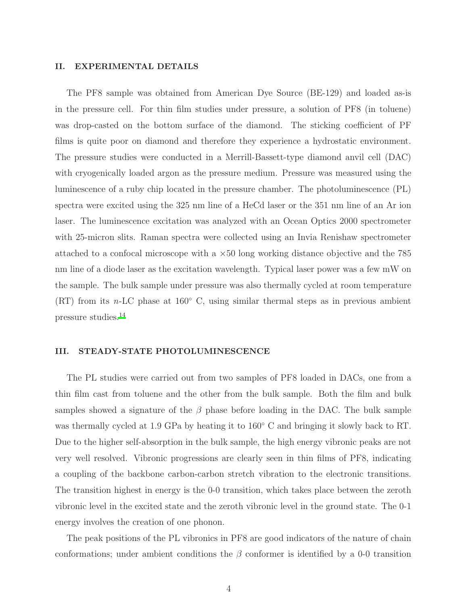#### II. EXPERIMENTAL DETAILS

The PF8 sample was obtained from American Dye Source (BE-129) and loaded as-is in the pressure cell. For thin film studies under pressure, a solution of PF8 (in toluene) was drop-casted on the bottom surface of the diamond. The sticking coefficient of PF films is quite poor on diamond and therefore they experience a hydrostatic environment. The pressure studies were conducted in a Merrill-Bassett-type diamond anvil cell (DAC) with cryogenically loaded argon as the pressure medium. Pressure was measured using the luminescence of a ruby chip located in the pressure chamber. The photoluminescence (PL) spectra were excited using the 325 nm line of a HeCd laser or the 351 nm line of an Ar ion laser. The luminescence excitation was analyzed with an Ocean Optics 2000 spectrometer with 25-micron slits. Raman spectra were collected using an Invia Renishaw spectrometer attached to a confocal microscope with a  $\times 50$  long working distance objective and the 785 nm line of a diode laser as the excitation wavelength. Typical laser power was a few mW on the sample. The bulk sample under pressure was also thermally cycled at room temperature  $(RT)$  from its n-LC phase at 160 $\degree$  C, using similar thermal steps as in previous ambient pressure studies.[14](#page-19-14)

#### III. STEADY-STATE PHOTOLUMINESCENCE

The PL studies were carried out from two samples of PF8 loaded in DACs, one from a thin film cast from toluene and the other from the bulk sample. Both the film and bulk samples showed a signature of the  $\beta$  phase before loading in the DAC. The bulk sample was thermally cycled at 1.9 GPa by heating it to 160◦ C and bringing it slowly back to RT. Due to the higher self-absorption in the bulk sample, the high energy vibronic peaks are not very well resolved. Vibronic progressions are clearly seen in thin films of PF8, indicating a coupling of the backbone carbon-carbon stretch vibration to the electronic transitions. The transition highest in energy is the 0-0 transition, which takes place between the zeroth vibronic level in the excited state and the zeroth vibronic level in the ground state. The 0-1 energy involves the creation of one phonon.

The peak positions of the PL vibronics in PF8 are good indicators of the nature of chain conformations; under ambient conditions the  $\beta$  conformer is identified by a 0-0 transition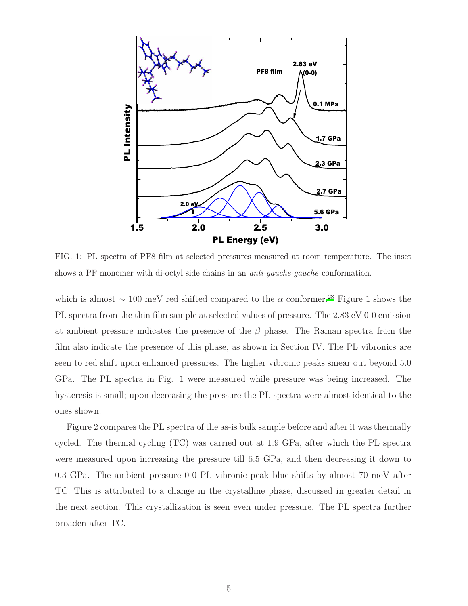

FIG. 1: PL spectra of PF8 film at selected pressures measured at room temperature. The inset shows a PF monomer with di-octyl side chains in an *anti-gauche-gauche* conformation.

which is almost  $\sim 100$  meV red shifted compared to the  $\alpha$  conformer.<sup>[28](#page-20-11)</sup> Figure 1 shows the PL spectra from the thin film sample at selected values of pressure. The 2.83 eV 0-0 emission at ambient pressure indicates the presence of the  $\beta$  phase. The Raman spectra from the film also indicate the presence of this phase, as shown in Section IV. The PL vibronics are seen to red shift upon enhanced pressures. The higher vibronic peaks smear out beyond 5.0 GPa. The PL spectra in Fig. 1 were measured while pressure was being increased. The hysteresis is small; upon decreasing the pressure the PL spectra were almost identical to the ones shown.

Figure 2 compares the PL spectra of the as-is bulk sample before and after it was thermally cycled. The thermal cycling (TC) was carried out at 1.9 GPa, after which the PL spectra were measured upon increasing the pressure till 6.5 GPa, and then decreasing it down to 0.3 GPa. The ambient pressure 0-0 PL vibronic peak blue shifts by almost 70 meV after TC. This is attributed to a change in the crystalline phase, discussed in greater detail in the next section. This crystallization is seen even under pressure. The PL spectra further broaden after TC.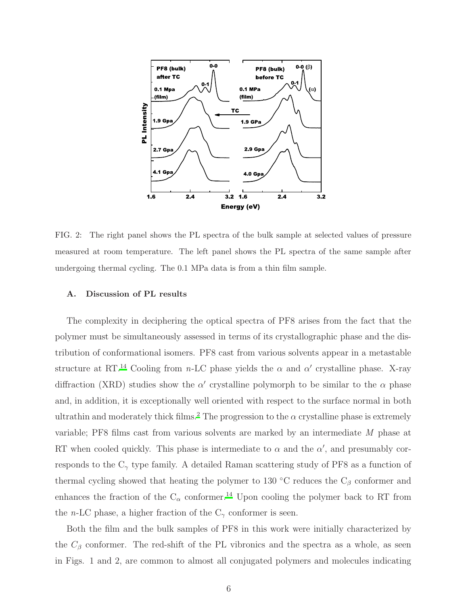

FIG. 2: The right panel shows the PL spectra of the bulk sample at selected values of pressure measured at room temperature. The left panel shows the PL spectra of the same sample after undergoing thermal cycling. The 0.1 MPa data is from a thin film sample.

#### A. Discussion of PL results

The complexity in deciphering the optical spectra of PF8 arises from the fact that the polymer must be simultaneously assessed in terms of its crystallographic phase and the distribution of conformational isomers. PF8 cast from various solvents appear in a metastable structure at RT.<sup>[14](#page-19-14)</sup> Cooling from n-LC phase yields the  $\alpha$  and  $\alpha'$  crystalline phase. X-ray diffraction (XRD) studies show the  $\alpha'$  crystalline polymorph to be similar to the  $\alpha$  phase and, in addition, it is exceptionally well oriented with respect to the surface normal in both ultrathin and moderately thick films.<sup>[2](#page-19-2)</sup> The progression to the  $\alpha$  crystalline phase is extremely variable; PF8 films cast from various solvents are marked by an intermediate M phase at RT when cooled quickly. This phase is intermediate to  $\alpha$  and the  $\alpha'$ , and presumably corresponds to the  $C_{\gamma}$  type family. A detailed Raman scattering study of PF8 as a function of thermal cycling showed that heating the polymer to 130 °C reduces the  $C_\beta$  conformer and enhances the fraction of the  $C_{\alpha}$  conformer.<sup>[14](#page-19-14)</sup> Upon cooling the polymer back to RT from the *n*-LC phase, a higher fraction of the  $C_{\gamma}$  conformer is seen.

Both the film and the bulk samples of PF8 in this work were initially characterized by the  $C_\beta$  conformer. The red-shift of the PL vibronics and the spectra as a whole, as seen in Figs. 1 and 2, are common to almost all conjugated polymers and molecules indicating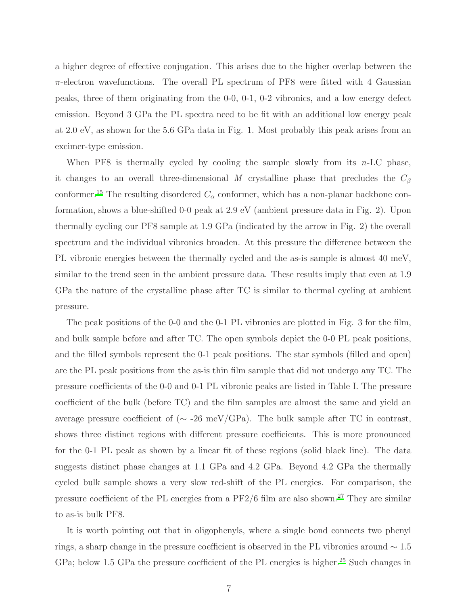a higher degree of effective conjugation. This arises due to the higher overlap between the  $\pi$ -electron wavefunctions. The overall PL spectrum of PF8 were fitted with 4 Gaussian peaks, three of them originating from the 0-0, 0-1, 0-2 vibronics, and a low energy defect emission. Beyond 3 GPa the PL spectra need to be fit with an additional low energy peak at 2.0 eV, as shown for the 5.6 GPa data in Fig. 1. Most probably this peak arises from an excimer-type emission.

When PF8 is thermally cycled by cooling the sample slowly from its  $n\text{-LC phase}$ , it changes to an overall three-dimensional M crystalline phase that precludes the  $C_{\beta}$ conformer.<sup>[15](#page-19-15)</sup> The resulting disordered  $C_{\alpha}$  conformer, which has a non-planar backbone conformation, shows a blue-shifted 0-0 peak at 2.9 eV (ambient pressure data in Fig. 2). Upon thermally cycling our PF8 sample at 1.9 GPa (indicated by the arrow in Fig. 2) the overall spectrum and the individual vibronics broaden. At this pressure the difference between the PL vibronic energies between the thermally cycled and the as-is sample is almost 40 meV, similar to the trend seen in the ambient pressure data. These results imply that even at 1.9 GPa the nature of the crystalline phase after TC is similar to thermal cycling at ambient pressure.

The peak positions of the 0-0 and the 0-1 PL vibronics are plotted in Fig. 3 for the film, and bulk sample before and after TC. The open symbols depict the 0-0 PL peak positions, and the filled symbols represent the 0-1 peak positions. The star symbols (filled and open) are the PL peak positions from the as-is thin film sample that did not undergo any TC. The pressure coefficients of the 0-0 and 0-1 PL vibronic peaks are listed in Table I. The pressure coefficient of the bulk (before TC) and the film samples are almost the same and yield an average pressure coefficient of ( $\sim$  -26 meV/GPa). The bulk sample after TC in contrast, shows three distinct regions with different pressure coefficients. This is more pronounced for the 0-1 PL peak as shown by a linear fit of these regions (solid black line). The data suggests distinct phase changes at 1.1 GPa and 4.2 GPa. Beyond 4.2 GPa the thermally cycled bulk sample shows a very slow red-shift of the PL energies. For comparison, the pressure coefficient of the PL energies from a  $PF2/6$  film are also shown.<sup>[27](#page-20-10)</sup> They are similar to as-is bulk PF8.

It is worth pointing out that in oligophenyls, where a single bond connects two phenyl rings, a sharp change in the pressure coefficient is observed in the PL vibronics around ∼ 1.5 GPa; below 1.5 GPa the pressure coefficient of the PL energies is higher.<sup>[25](#page-20-8)</sup> Such changes in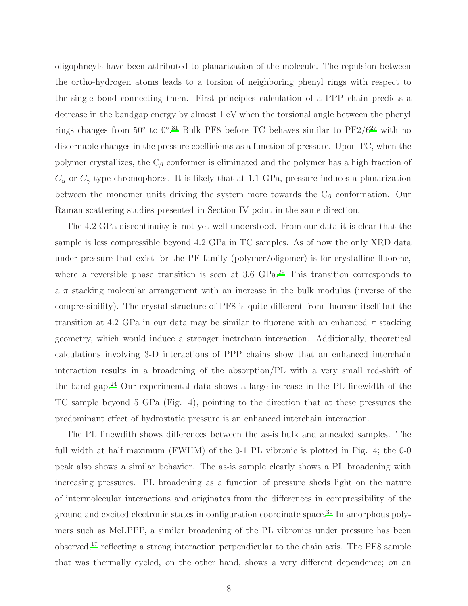oligophneyls have been attributed to planarization of the molecule. The repulsion between the ortho-hydrogen atoms leads to a torsion of neighboring phenyl rings with respect to the single bond connecting them. First principles calculation of a PPP chain predicts a decrease in the bandgap energy by almost 1 eV when the torsional angle between the phenyl rings changes from  $50^{\circ}$  to  $0^{\circ}.^{31}$  $0^{\circ}.^{31}$  $0^{\circ}.^{31}$  Bulk PF8 before TC behaves similar to PF2/ $6^{27}$  $6^{27}$  $6^{27}$  with no discernable changes in the pressure coefficients as a function of pressure. Upon TC, when the polymer crystallizes, the  $C_\beta$  conformer is eliminated and the polymer has a high fraction of  $C_{\alpha}$  or  $C_{\gamma}$ -type chromophores. It is likely that at 1.1 GPa, pressure induces a planarization between the monomer units driving the system more towards the  $C_\beta$  conformation. Our Raman scattering studies presented in Section IV point in the same direction.

The 4.2 GPa discontinuity is not yet well understood. From our data it is clear that the sample is less compressible beyond 4.2 GPa in TC samples. As of now the only XRD data under pressure that exist for the PF family (polymer/oligomer) is for crystalline fluorene, where a reversible phase transition is seen at 3.6 GPa.<sup>[29](#page-20-13)</sup> This transition corresponds to a  $\pi$  stacking molecular arrangement with an increase in the bulk modulus (inverse of the compressibility). The crystal structure of PF8 is quite different from fluorene itself but the transition at 4.2 GPa in our data may be similar to fluorene with an enhanced  $\pi$  stacking geometry, which would induce a stronger inetrchain interaction. Additionally, theoretical calculations involving 3-D interactions of PPP chains show that an enhanced interchain interaction results in a broadening of the absorption/PL with a very small red-shift of the band gap.[24](#page-20-7) Our experimental data shows a large increase in the PL linewidth of the TC sample beyond 5 GPa (Fig. 4), pointing to the direction that at these pressures the predominant effect of hydrostatic pressure is an enhanced interchain interaction.

The PL linewdith shows differences between the as-is bulk and annealed samples. The full width at half maximum (FWHM) of the 0-1 PL vibronic is plotted in Fig. 4; the 0-0 peak also shows a similar behavior. The as-is sample clearly shows a PL broadening with increasing pressures. PL broadening as a function of pressure sheds light on the nature of intermolecular interactions and originates from the differences in compressibility of the ground and excited electronic states in configuration coordinate space.[30](#page-20-14) In amorphous polymers such as MeLPPP, a similar broadening of the PL vibronics under pressure has been observed,[17](#page-20-0) reflecting a strong interaction perpendicular to the chain axis. The PF8 sample that was thermally cycled, on the other hand, shows a very different dependence; on an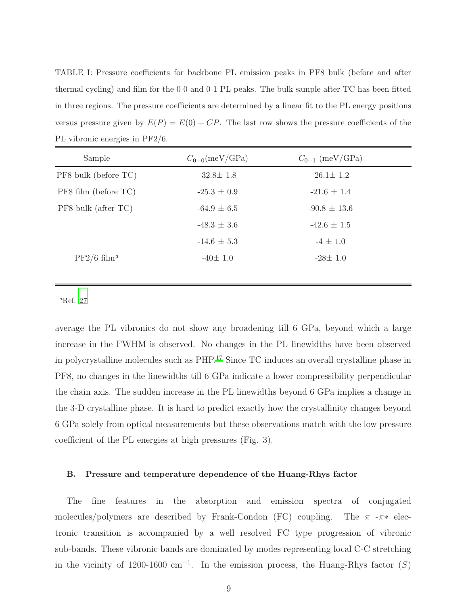TABLE I: Pressure coefficients for backbone PL emission peaks in PF8 bulk (before and after thermal cycling) and film for the 0-0 and 0-1 PL peaks. The bulk sample after TC has been fitted in three regions. The pressure coefficients are determined by a linear fit to the PL energy positions versus pressure given by  $E(P) = E(0) + CP$ . The last row shows the pressure coefficients of the PL vibronic energies in PF2/6.

| Sample                    | $C_{0-0}$ (meV/GPa) | $C_{0-1}$ (meV/GPa) |  |
|---------------------------|---------------------|---------------------|--|
| PF8 bulk (before TC)      | $-32.8 \pm 1.8$     | $-26.1 \pm 1.2$     |  |
| PF8 film (before TC)      | $-25.3 \pm 0.9$     | $-21.6 \pm 1.4$     |  |
| PF8 bulk (after TC)       | $-64.9 \pm 6.5$     | $-90.8 \pm 13.6$    |  |
|                           | $-48.3 \pm 3.6$     | $-42.6 \pm 1.5$     |  |
|                           | $-14.6 \pm 5.3$     | $-4 \pm 1.0$        |  |
| $PF2/6$ film <sup>a</sup> | $-40 \pm 1.0$       | $-28\pm 1.0$        |  |
|                           |                     |                     |  |

 ${}^a$ Ref. [27](#page-20-10)

average the PL vibronics do not show any broadening till 6 GPa, beyond which a large increase in the FWHM is observed. No changes in the PL linewidths have been observed in polycrystalline molecules such as PHP.[17](#page-20-0) Since TC induces an overall crystalline phase in PF8, no changes in the linewidths till 6 GPa indicate a lower compressibility perpendicular the chain axis. The sudden increase in the PL linewidths beyond 6 GPa implies a change in the 3-D crystalline phase. It is hard to predict exactly how the crystallinity changes beyond 6 GPa solely from optical measurements but these observations match with the low pressure coefficient of the PL energies at high pressures (Fig. 3).

#### B. Pressure and temperature dependence of the Huang-Rhys factor

The fine features in the absorption and emission spectra of conjugated molecules/polymers are described by Frank-Condon (FC) coupling. The  $\pi$ - $\pi$ <sup>\*</sup> electronic transition is accompanied by a well resolved FC type progression of vibronic sub-bands. These vibronic bands are dominated by modes representing local C-C stretching in the vicinity of 1200-1600 cm<sup>-1</sup>. In the emission process, the Huang-Rhys factor  $(S)$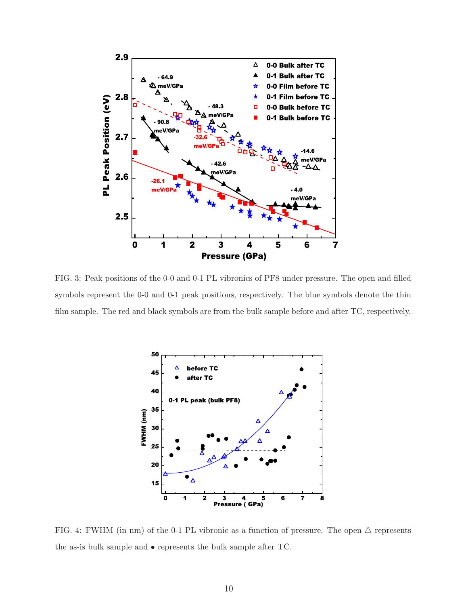

FIG. 3: Peak positions of the 0-0 and 0-1 PL vibronics of PF8 under pressure. The open and filled symbols represent the 0-0 and 0-1 peak positions, respectively. The blue symbols denote the thin film sample. The red and black symbols are from the bulk sample before and after TC, respectively.



FIG. 4: FWHM (in nm) of the 0-1 PL vibronic as a function of pressure. The open  $\triangle$  represents the as-is bulk sample and • represents the bulk sample after TC.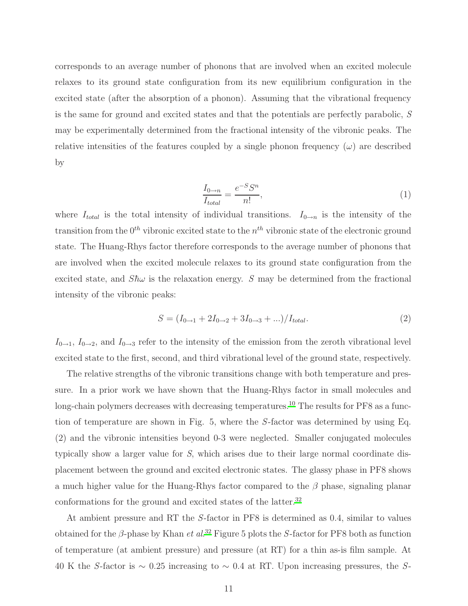corresponds to an average number of phonons that are involved when an excited molecule relaxes to its ground state configuration from its new equilibrium configuration in the excited state (after the absorption of a phonon). Assuming that the vibrational frequency is the same for ground and excited states and that the potentials are perfectly parabolic, S may be experimentally determined from the fractional intensity of the vibronic peaks. The relative intensities of the features coupled by a single phonon frequency  $(\omega)$  are described by

$$
\frac{I_{0\to n}}{I_{total}} = \frac{e^{-S}S^n}{n!},\tag{1}
$$

where  $I_{total}$  is the total intensity of individual transitions.  $I_{0\rightarrow n}$  is the intensity of the transition from the  $0^{th}$  vibronic excited state to the  $n^{th}$  vibronic state of the electronic ground state. The Huang-Rhys factor therefore corresponds to the average number of phonons that are involved when the excited molecule relaxes to its ground state configuration from the excited state, and  $S\hbar\omega$  is the relaxation energy. S may be determined from the fractional intensity of the vibronic peaks:

$$
S = (I_{0 \to 1} + 2I_{0 \to 2} + 3I_{0 \to 3} + ...) / I_{total}.
$$
 (2)

 $I_{0\rightarrow1}$ ,  $I_{0\rightarrow2}$ , and  $I_{0\rightarrow3}$  refer to the intensity of the emission from the zeroth vibrational level excited state to the first, second, and third vibrational level of the ground state, respectively.

The relative strengths of the vibronic transitions change with both temperature and pressure. In a prior work we have shown that the Huang-Rhys factor in small molecules and long-chain polymers decreases with decreasing temperatures.<sup>[10](#page-19-10)</sup> The results for PF8 as a function of temperature are shown in Fig. 5, where the S-factor was determined by using Eq. (2) and the vibronic intensities beyond 0-3 were neglected. Smaller conjugated molecules typically show a larger value for S, which arises due to their large normal coordinate displacement between the ground and excited electronic states. The glassy phase in PF8 shows a much higher value for the Huang-Rhys factor compared to the  $\beta$  phase, signaling planar conformations for the ground and excited states of the latter.<sup>[32](#page-20-15)</sup>

At ambient pressure and RT the S-factor in PF8 is determined as 0.4, similar to values obtained for the  $\beta$ -phase by Khan *et al.*<sup>[32](#page-20-15)</sup> Figure 5 plots the S-factor for PF8 both as function of temperature (at ambient pressure) and pressure (at RT) for a thin as-is film sample. At 40 K the S-factor is  $\sim 0.25$  increasing to  $\sim 0.4$  at RT. Upon increasing pressures, the S-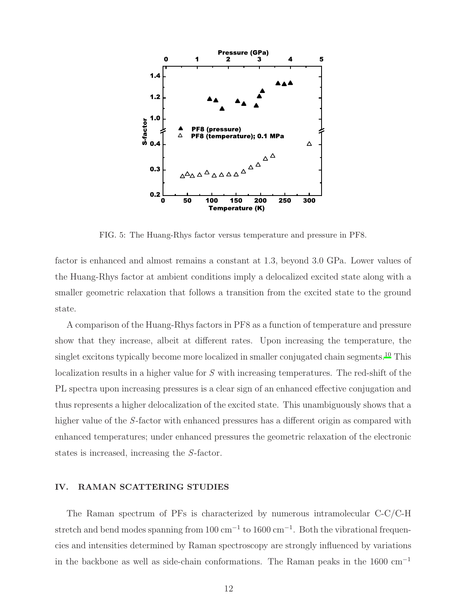

FIG. 5: The Huang-Rhys factor versus temperature and pressure in PF8.

factor is enhanced and almost remains a constant at 1.3, beyond 3.0 GPa. Lower values of the Huang-Rhys factor at ambient conditions imply a delocalized excited state along with a smaller geometric relaxation that follows a transition from the excited state to the ground state.

A comparison of the Huang-Rhys factors in PF8 as a function of temperature and pressure show that they increase, albeit at different rates. Upon increasing the temperature, the singlet excitons typically become more localized in smaller conjugated chain segments.<sup>[10](#page-19-10)</sup> This localization results in a higher value for S with increasing temperatures. The red-shift of the PL spectra upon increasing pressures is a clear sign of an enhanced effective conjugation and thus represents a higher delocalization of the excited state. This unambiguously shows that a higher value of the S-factor with enhanced pressures has a different origin as compared with enhanced temperatures; under enhanced pressures the geometric relaxation of the electronic states is increased, increasing the S-factor.

#### IV. RAMAN SCATTERING STUDIES

The Raman spectrum of PFs is characterized by numerous intramolecular C-C/C-H stretch and bend modes spanning from 100 cm<sup>-1</sup> to 1600 cm<sup>-1</sup>. Both the vibrational frequencies and intensities determined by Raman spectroscopy are strongly influenced by variations in the backbone as well as side-chain conformations. The Raman peaks in the  $1600 \text{ cm}^{-1}$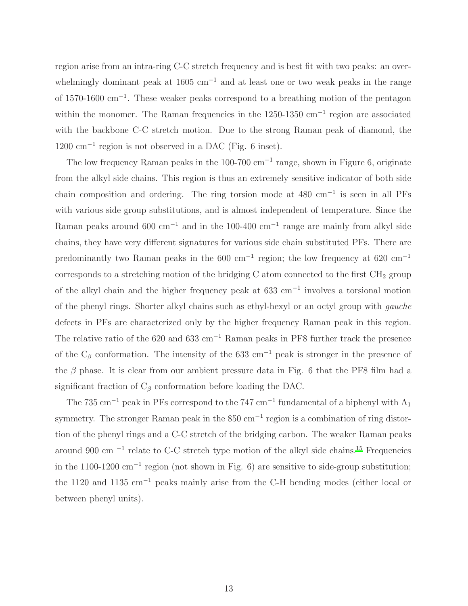region arise from an intra-ring C-C stretch frequency and is best fit with two peaks: an overwhelmingly dominant peak at 1605 cm<sup>-1</sup> and at least one or two weak peaks in the range of 1570-1600 cm<sup>−</sup><sup>1</sup> . These weaker peaks correspond to a breathing motion of the pentagon within the monomer. The Raman frequencies in the 1250-1350 cm<sup>-1</sup> region are associated with the backbone C-C stretch motion. Due to the strong Raman peak of diamond, the 1200 cm<sup>−</sup><sup>1</sup> region is not observed in a DAC (Fig. 6 inset).

The low frequency Raman peaks in the 100-700 cm<sup>-1</sup> range, shown in Figure 6, originate from the alkyl side chains. This region is thus an extremely sensitive indicator of both side chain composition and ordering. The ring torsion mode at 480 cm<sup>−</sup><sup>1</sup> is seen in all PFs with various side group substitutions, and is almost independent of temperature. Since the Raman peaks around 600 cm<sup>-1</sup> and in the 100-400 cm<sup>-1</sup> range are mainly from alkyl side chains, they have very different signatures for various side chain substituted PFs. There are predominantly two Raman peaks in the 600 cm<sup>-1</sup> region; the low frequency at 620 cm<sup>-1</sup> corresponds to a stretching motion of the bridging C atom connected to the first  $\text{CH}_2$  group of the alkyl chain and the higher frequency peak at 633 cm<sup>−</sup><sup>1</sup> involves a torsional motion of the phenyl rings. Shorter alkyl chains such as ethyl-hexyl or an octyl group with gauche defects in PFs are characterized only by the higher frequency Raman peak in this region. The relative ratio of the 620 and 633 cm<sup>-1</sup> Raman peaks in PF8 further track the presence of the  $C_\beta$  conformation. The intensity of the 633 cm<sup>-1</sup> peak is stronger in the presence of the  $\beta$  phase. It is clear from our ambient pressure data in Fig. 6 that the PF8 film had a significant fraction of  $C_\beta$  conformation before loading the DAC.

The 735 cm<sup>-1</sup> peak in PFs correspond to the 747 cm<sup>-1</sup> fundamental of a biphenyl with  $A_1$ symmetry. The stronger Raman peak in the  $850 \text{ cm}^{-1}$  region is a combination of ring distortion of the phenyl rings and a C-C stretch of the bridging carbon. The weaker Raman peaks around 900 cm<sup>-1</sup> relate to C-C stretch type motion of the alkyl side chains.<sup>[15](#page-19-15)</sup> Frequencies in the 1100-1200  $\text{cm}^{-1}$  region (not shown in Fig. 6) are sensitive to side-group substitution; the 1120 and 1135 cm<sup>−</sup><sup>1</sup> peaks mainly arise from the C-H bending modes (either local or between phenyl units).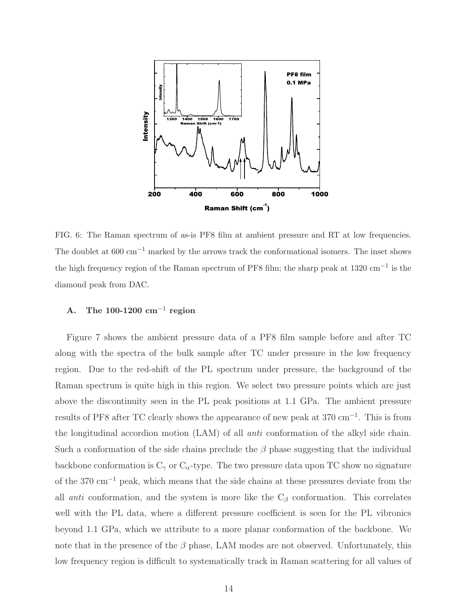

FIG. 6: The Raman spectrum of as-is PF8 film at ambient pressure and RT at low frequencies. The doublet at  $600 \text{ cm}^{-1}$  marked by the arrows track the conformational isomers. The inset shows the high frequency region of the Raman spectrum of PF8 film; the sharp peak at 1320 cm−<sup>1</sup> is the diamond peak from DAC.

## A. The 100-1200  $\text{cm}^{-1}$  region

Figure 7 shows the ambient pressure data of a PF8 film sample before and after TC along with the spectra of the bulk sample after TC under pressure in the low frequency region. Due to the red-shift of the PL spectrum under pressure, the background of the Raman spectrum is quite high in this region. We select two pressure points which are just above the discontinuity seen in the PL peak positions at 1.1 GPa. The ambient pressure results of PF8 after TC clearly shows the appearance of new peak at 370 cm<sup>−</sup><sup>1</sup> . This is from the longitudinal accordion motion (LAM) of all anti conformation of the alkyl side chain. Such a conformation of the side chains preclude the  $\beta$  phase suggesting that the individual backbone conformation is  $C_{\gamma}$  or  $C_{\alpha}$ -type. The two pressure data upon TC show no signature of the 370 cm<sup>−</sup><sup>1</sup> peak, which means that the side chains at these pressures deviate from the all *anti* conformation, and the system is more like the  $C_\beta$  conformation. This correlates well with the PL data, where a different pressure coefficient is seen for the PL vibronics beyond 1.1 GPa, which we attribute to a more planar conformation of the backbone. We note that in the presence of the  $\beta$  phase, LAM modes are not observed. Unfortunately, this low frequency region is difficult to systematically track in Raman scattering for all values of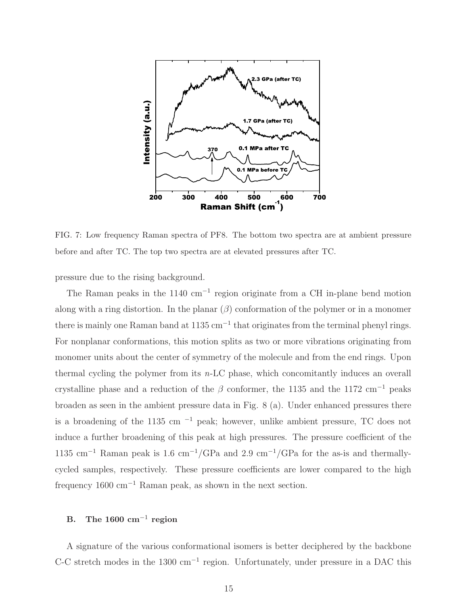

FIG. 7: Low frequency Raman spectra of PF8. The bottom two spectra are at ambient pressure before and after TC. The top two spectra are at elevated pressures after TC.

pressure due to the rising background.

The Raman peaks in the 1140 cm<sup>-1</sup> region originate from a CH in-plane bend motion along with a ring distortion. In the planar  $(\beta)$  conformation of the polymer or in a monomer there is mainly one Raman band at 1135 cm<sup>-1</sup> that originates from the terminal phenyl rings. For nonplanar conformations, this motion splits as two or more vibrations originating from monomer units about the center of symmetry of the molecule and from the end rings. Upon thermal cycling the polymer from its n-LC phase, which concomitantly induces an overall crystalline phase and a reduction of the  $\beta$  conformer, the 1135 and the 1172 cm<sup>-1</sup> peaks broaden as seen in the ambient pressure data in Fig. 8 (a). Under enhanced pressures there is a broadening of the 1135 cm  $^{-1}$  peak; however, unlike ambient pressure, TC does not induce a further broadening of this peak at high pressures. The pressure coefficient of the 1135 cm<sup>-1</sup> Raman peak is 1.6 cm<sup>-1</sup>/GPa and 2.9 cm<sup>-1</sup>/GPa for the as-is and thermallycycled samples, respectively. These pressure coefficients are lower compared to the high frequency  $1600 \text{ cm}^{-1}$  Raman peak, as shown in the next section.

# B. The 1600  $\text{cm}^{-1}$  region

A signature of the various conformational isomers is better deciphered by the backbone C-C stretch modes in the 1300 cm<sup>-1</sup> region. Unfortunately, under pressure in a DAC this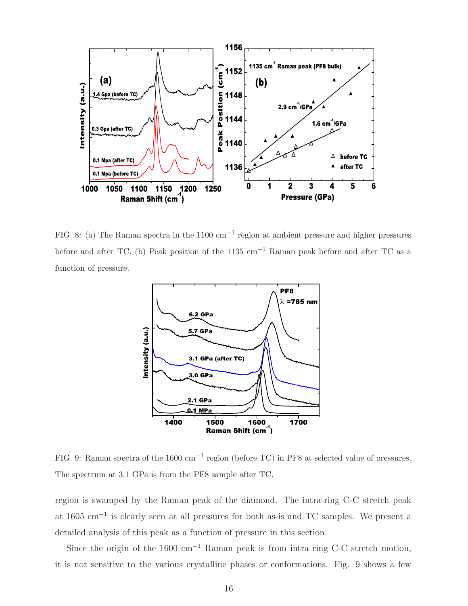

FIG. 8: (a) The Raman spectra in the 1100 cm−<sup>1</sup> region at ambient pressure and higher pressures before and after TC. (b) Peak position of the 1135 cm−<sup>1</sup> Raman peak before and after TC as a function of pressure.



FIG. 9: Raman spectra of the 1600 cm<sup>-1</sup> region (before TC) in PF8 at selected value of pressures. The spectrum at 3.1 GPa is from the PF8 sample after TC.

region is swamped by the Raman peak of the diamond. The intra-ring C-C stretch peak at 1605 cm<sup>−</sup><sup>1</sup> is clearly seen at all pressures for both as-is and TC samples. We present a detailed analysis of this peak as a function of pressure in this section.

Since the origin of the 1600 cm<sup>-1</sup> Raman peak is from intra ring C-C stretch motion, it is not sensitive to the various crystalline phases or conformations. Fig. 9 shows a few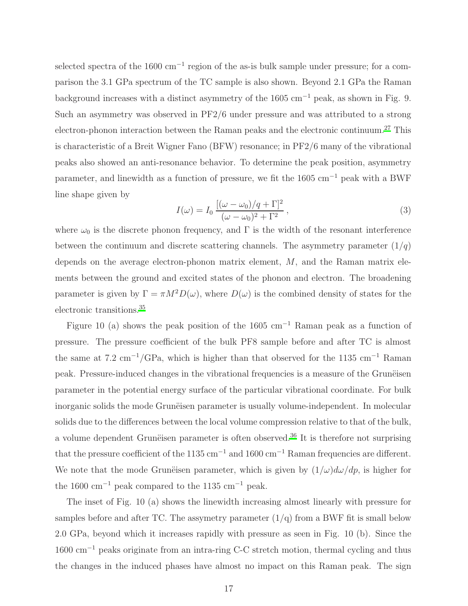selected spectra of the 1600 cm<sup>-1</sup> region of the as-is bulk sample under pressure; for a comparison the 3.1 GPa spectrum of the TC sample is also shown. Beyond 2.1 GPa the Raman background increases with a distinct asymmetry of the 1605 cm<sup>-1</sup> peak, as shown in Fig. 9. Such an asymmetry was observed in PF2/6 under pressure and was attributed to a strong electron-phonon interaction between the Raman peaks and the electronic continuum.<sup>[27](#page-20-10)</sup> This is characteristic of a Breit Wigner Fano (BFW) resonance; in PF2/6 many of the vibrational peaks also showed an anti-resonance behavior. To determine the peak position, asymmetry parameter, and linewidth as a function of pressure, we fit the 1605 cm<sup>−</sup><sup>1</sup> peak with a BWF line shape given by

$$
I(\omega) = I_0 \frac{[(\omega - \omega_0)/q + \Gamma]^2}{(\omega - \omega_0)^2 + \Gamma^2},
$$
\n(3)

where  $\omega_0$  is the discrete phonon frequency, and  $\Gamma$  is the width of the resonant interference between the continuum and discrete scattering channels. The asymmetry parameter  $(1/q)$ depends on the average electron-phonon matrix element, M, and the Raman matrix elements between the ground and excited states of the phonon and electron. The broadening parameter is given by  $\Gamma = \pi M^2 D(\omega)$ , where  $D(\omega)$  is the combined density of states for the electronic transitions.[35](#page-20-16)

Figure 10 (a) shows the peak position of the 1605 cm<sup>-1</sup> Raman peak as a function of pressure. The pressure coefficient of the bulk PF8 sample before and after TC is almost the same at 7.2 cm<sup>-1</sup>/GPa, which is higher than that observed for the 1135 cm<sup>-1</sup> Raman peak. Pressure-induced changes in the vibrational frequencies is a measure of the Gruneisen parameter in the potential energy surface of the particular vibrational coordinate. For bulk inorganic solids the mode Grune is parameter is usually volume-independent. In molecular solids due to the differences between the local volume compression relative to that of the bulk, a volume dependent Grunëisen parameter is often observed.<sup>[36](#page-21-0)</sup> It is therefore not surprising that the pressure coefficient of the 1135 cm<sup>-1</sup> and 1600 cm<sup>-1</sup> Raman frequencies are different. We note that the mode Grunevisen parameter, which is given by  $(1/\omega)d\omega/dp$ , is higher for the 1600 cm<sup>-1</sup> peak compared to the 1135 cm<sup>-1</sup> peak.

The inset of Fig. 10 (a) shows the linewidth increasing almost linearly with pressure for samples before and after TC. The assymetry parameter  $(1/q)$  from a BWF fit is small below 2.0 GPa, beyond which it increases rapidly with pressure as seen in Fig. 10 (b). Since the 1600 cm<sup>−</sup><sup>1</sup> peaks originate from an intra-ring C-C stretch motion, thermal cycling and thus the changes in the induced phases have almost no impact on this Raman peak. The sign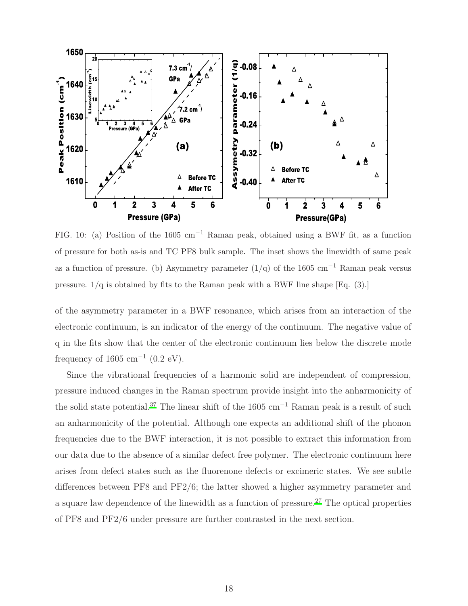

FIG. 10: (a) Position of the 1605 cm−<sup>1</sup> Raman peak, obtained using a BWF fit, as a function of pressure for both as-is and TC PF8 bulk sample. The inset shows the linewidth of same peak as a function of pressure. (b) Asymmetry parameter  $(1/q)$  of the 1605 cm<sup>-1</sup> Raman peak versus pressure. 1/q is obtained by fits to the Raman peak with a BWF line shape [Eq. (3).]

of the asymmetry parameter in a BWF resonance, which arises from an interaction of the electronic continuum, is an indicator of the energy of the continuum. The negative value of q in the fits show that the center of the electronic continuum lies below the discrete mode frequency of  $1605 \text{ cm}^{-1}$  (0.2 eV).

Since the vibrational frequencies of a harmonic solid are independent of compression, pressure induced changes in the Raman spectrum provide insight into the anharmonicity of the solid state potential.<sup>[37](#page-21-1)</sup> The linear shift of the 1605 cm<sup>-1</sup> Raman peak is a result of such an anharmonicity of the potential. Although one expects an additional shift of the phonon frequencies due to the BWF interaction, it is not possible to extract this information from our data due to the absence of a similar defect free polymer. The electronic continuum here arises from defect states such as the fluorenone defects or excimeric states. We see subtle differences between PF8 and PF2/6; the latter showed a higher asymmetry parameter and a square law dependence of the linewidth as a function of pressure.[27](#page-20-10) The optical properties of PF8 and PF2/6 under pressure are further contrasted in the next section.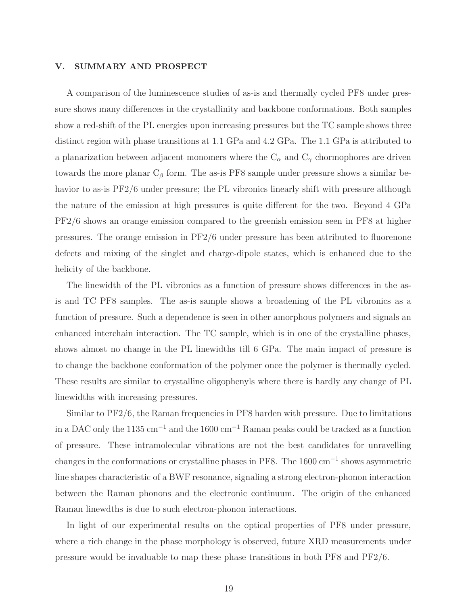#### V. SUMMARY AND PROSPECT

A comparison of the luminescence studies of as-is and thermally cycled PF8 under pressure shows many differences in the crystallinity and backbone conformations. Both samples show a red-shift of the PL energies upon increasing pressures but the TC sample shows three distinct region with phase transitions at 1.1 GPa and 4.2 GPa. The 1.1 GPa is attributed to a planarization between adjacent monomers where the  $C_{\alpha}$  and  $C_{\gamma}$  chormophores are driven towards the more planar  $C_{\beta}$  form. The as-is PF8 sample under pressure shows a similar behavior to as-is PF2/6 under pressure; the PL vibronics linearly shift with pressure although the nature of the emission at high pressures is quite different for the two. Beyond 4 GPa PF2/6 shows an orange emission compared to the greenish emission seen in PF8 at higher pressures. The orange emission in PF2/6 under pressure has been attributed to fluorenone defects and mixing of the singlet and charge-dipole states, which is enhanced due to the helicity of the backbone.

The linewidth of the PL vibronics as a function of pressure shows differences in the asis and TC PF8 samples. The as-is sample shows a broadening of the PL vibronics as a function of pressure. Such a dependence is seen in other amorphous polymers and signals an enhanced interchain interaction. The TC sample, which is in one of the crystalline phases, shows almost no change in the PL linewidths till 6 GPa. The main impact of pressure is to change the backbone conformation of the polymer once the polymer is thermally cycled. These results are similar to crystalline oligophenyls where there is hardly any change of PL linewidths with increasing pressures.

Similar to PF2/6, the Raman frequencies in PF8 harden with pressure. Due to limitations in a DAC only the 1135 cm<sup>-1</sup> and the 1600 cm<sup>-1</sup> Raman peaks could be tracked as a function of pressure. These intramolecular vibrations are not the best candidates for unravelling changes in the conformations or crystalline phases in PF8. The  $1600 \text{ cm}^{-1}$  shows asymmetric line shapes characteristic of a BWF resonance, signaling a strong electron-phonon interaction between the Raman phonons and the electronic continuum. The origin of the enhanced Raman linewdths is due to such electron-phonon interactions.

In light of our experimental results on the optical properties of PF8 under pressure, where a rich change in the phase morphology is observed, future XRD measurements under pressure would be invaluable to map these phase transitions in both PF8 and PF2/6.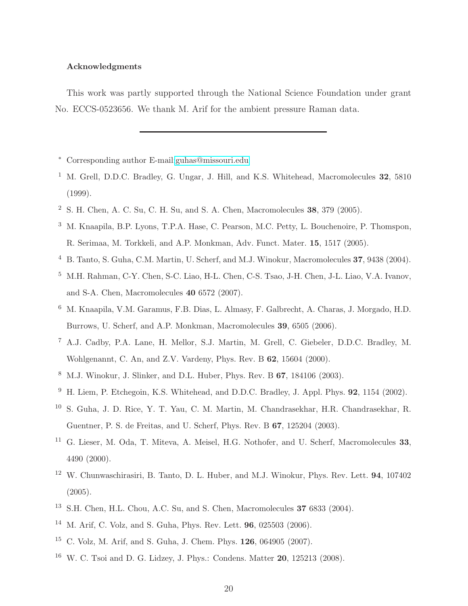### Acknowledgments

This work was partly supported through the National Science Foundation under grant No. ECCS-0523656. We thank M. Arif for the ambient pressure Raman data.

- <span id="page-19-0"></span><sup>∗</sup> Corresponding author E-mail[:guhas@missouri.edu](mailto:guhas@missouri.edu)
- <span id="page-19-1"></span><sup>1</sup> M. Grell, D.D.C. Bradley, G. Ungar, J. Hill, and K.S. Whitehead, Macromolecules **32**, 5810 (1999).
- <span id="page-19-2"></span><sup>2</sup> S. H. Chen, A. C. Su, C. H. Su, and S. A. Chen, Macromolecules 38, 379 (2005).
- <span id="page-19-3"></span><sup>3</sup> M. Knaapila, B.P. Lyons, T.P.A. Hase, C. Pearson, M.C. Petty, L. Bouchenoire, P. Thomspon, R. Serimaa, M. Torkkeli, and A.P. Monkman, Adv. Funct. Mater. 15, 1517 (2005).
- <span id="page-19-4"></span><sup>4</sup> B. Tanto, S. Guha, C.M. Martin, U. Scherf, and M.J. Winokur, Macromolecules 37, 9438 (2004).
- <span id="page-19-5"></span><sup>5</sup> M.H. Rahman, C-Y. Chen, S-C. Liao, H-L. Chen, C-S. Tsao, J-H. Chen, J-L. Liao, V.A. Ivanov, and S-A. Chen, Macromolecules 40 6572 (2007).
- <span id="page-19-6"></span><sup>6</sup> M. Knaapila, V.M. Garamus, F.B. Dias, L. Almasy, F. Galbrecht, A. Charas, J. Morgado, H.D. Burrows, U. Scherf, and A.P. Monkman, Macromolecules 39, 6505 (2006).
- <span id="page-19-7"></span><sup>7</sup> A.J. Cadby, P.A. Lane, H. Mellor, S.J. Martin, M. Grell, C. Giebeler, D.D.C. Bradley, M. Wohlgenannt, C. An, and Z.V. Vardeny, Phys. Rev. B 62, 15604 (2000).
- <span id="page-19-8"></span><sup>8</sup> M.J. Winokur, J. Slinker, and D.L. Huber, Phys. Rev. B 67, 184106 (2003).
- <span id="page-19-9"></span><sup>9</sup> H. Liem, P. Etchegoin, K.S. Whitehead, and D.D.C. Bradley, J. Appl. Phys. **92**, 1154 (2002).
- <span id="page-19-10"></span><sup>10</sup> S. Guha, J. D. Rice, Y. T. Yau, C. M. Martin, M. Chandrasekhar, H.R. Chandrasekhar, R. Guentner, P. S. de Freitas, and U. Scherf, Phys. Rev. B 67, 125204 (2003).
- <span id="page-19-11"></span><sup>11</sup> G. Lieser, M. Oda, T. Miteva, A. Meisel, H.G. Nothofer, and U. Scherf, Macromolecules 33, 4490 (2000).
- <span id="page-19-12"></span><sup>12</sup> W. Chunwaschirasiri, B. Tanto, D. L. Huber, and M.J. Winokur, Phys. Rev. Lett. **94**, 107402 (2005).
- <span id="page-19-13"></span><sup>13</sup> S.H. Chen, H.L. Chou, A.C. Su, and S. Chen, Macromolecules 37 6833 (2004).
- <span id="page-19-14"></span><sup>14</sup> M. Arif, C. Volz, and S. Guha, Phys. Rev. Lett. 96, 025503 (2006).
- <span id="page-19-15"></span><sup>15</sup> C. Volz, M. Arif, and S. Guha, J. Chem. Phys. 126, 064905 (2007).
- <span id="page-19-16"></span><sup>16</sup> W. C. Tsoi and D. G. Lidzey, J. Phys.: Condens. Matter **20**, 125213 (2008).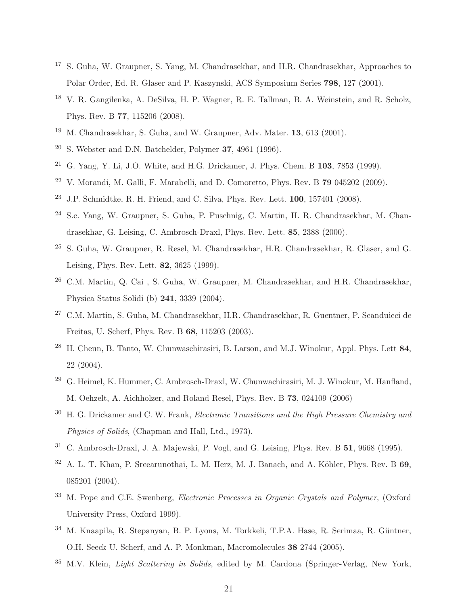- <span id="page-20-0"></span><sup>17</sup> S. Guha, W. Graupner, S. Yang, M. Chandrasekhar, and H.R. Chandrasekhar, Approaches to Polar Order, Ed. R. Glaser and P. Kaszynski, ACS Symposium Series 798, 127 (2001).
- <span id="page-20-1"></span><sup>18</sup> V. R. Gangilenka, A. DeSilva, H. P. Wagner, R. E. Tallman, B. A. Weinstein, and R. Scholz, Phys. Rev. B 77, 115206 (2008).
- <span id="page-20-2"></span><sup>19</sup> M. Chandrasekhar, S. Guha, and W. Graupner, Adv. Mater. 13, 613 (2001).
- <span id="page-20-3"></span><sup>20</sup> S. Webster and D.N. Batchelder, Polymer 37, 4961 (1996).
- <span id="page-20-4"></span><sup>21</sup> G. Yang, Y. Li, J.O. White, and H.G. Drickamer, J. Phys. Chem. B  $103$ , 7853 (1999).
- <span id="page-20-5"></span> $22$  V. Morandi, M. Galli, F. Marabelli, and D. Comoretto, Phys. Rev. B 79 045202 (2009).
- <span id="page-20-6"></span> $23$  J.P. Schmidtke, R. H. Friend, and C. Silva, Phys. Rev. Lett.  $100$ ,  $157401$  (2008).
- <span id="page-20-7"></span><sup>24</sup> S.c. Yang, W. Graupner, S. Guha, P. Puschnig, C. Martin, H. R. Chandrasekhar, M. Chandrasekhar, G. Leising, C. Ambrosch-Draxl, Phys. Rev. Lett. 85, 2388 (2000).
- <span id="page-20-8"></span><sup>25</sup> S. Guha, W. Graupner, R. Resel, M. Chandrasekhar, H.R. Chandrasekhar, R. Glaser, and G. Leising, Phys. Rev. Lett. 82, 3625 (1999).
- <span id="page-20-9"></span><sup>26</sup> C.M. Martin, Q. Cai , S. Guha, W. Graupner, M. Chandrasekhar, and H.R. Chandrasekhar, Physica Status Solidi (b) 241, 3339 (2004).
- <span id="page-20-10"></span><sup>27</sup> C.M. Martin, S. Guha, M. Chandrasekhar, H.R. Chandrasekhar, R. Guentner, P. Scanduicci de Freitas, U. Scherf, Phys. Rev. B 68, 115203 (2003).
- <span id="page-20-11"></span> $^{28}$  H. Cheun, B. Tanto, W. Chunwaschirasiri, B. Larson, and M.J. Winokur, Appl. Phys. Lett 84, 22 (2004).
- <span id="page-20-13"></span><sup>29</sup> G. Heimel, K. Hummer, C. Ambrosch-Draxl, W. Chunwachirasiri, M. J. Winokur, M. Hanfland, M. Oehzelt, A. Aichholzer, and Roland Resel, Phys. Rev. B 73, 024109 (2006)
- <span id="page-20-14"></span> $30$  H. G. Drickamer and C. W. Frank, *Electronic Transitions and the High Pressure Chemistry and* Physics of Solids, (Chapman and Hall, Ltd., 1973).
- <span id="page-20-12"></span><sup>31</sup> C. Ambrosch-Draxl, J. A. Majewski, P. Vogl, and G. Leising, Phys. Rev. B 51, 9668 (1995).
- <span id="page-20-15"></span> $32$  A. L. T. Khan, P. Sreearunothai, L. M. Herz, M. J. Banach, and A. Köhler, Phys. Rev. B 69, 085201 (2004).
- <sup>33</sup> M. Pope and C.E. Swenberg, Electronic Processes in Organic Crystals and Polymer, (Oxford University Press, Oxford 1999).
- M. Knaapila, R. Stepanyan, B. P. Lyons, M. Torkkeli, T.P.A. Hase, R. Serimaa, R. Güntner, O.H. Seeck U. Scherf, and A. P. Monkman, Macromolecules 38 2744 (2005).
- <span id="page-20-16"></span> $35$  M.V. Klein, *Light Scattering in Solids*, edited by M. Cardona (Springer-Verlag, New York,